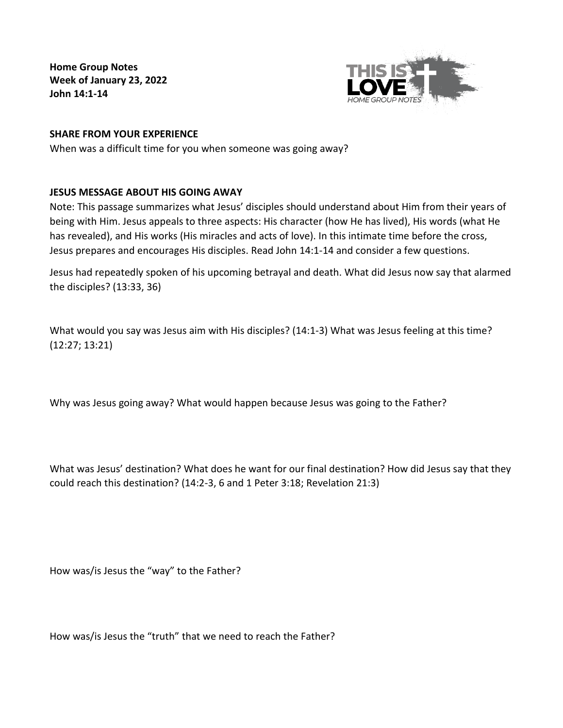**Home Group Notes Week of January 23, 2022 John 14:1-14**



## **SHARE FROM YOUR EXPERIENCE**

When was a difficult time for you when someone was going away?

## **JESUS MESSAGE ABOUT HIS GOING AWAY**

Note: This passage summarizes what Jesus' disciples should understand about Him from their years of being with Him. Jesus appeals to three aspects: His character (how He has lived), His words (what He has revealed), and His works (His miracles and acts of love). In this intimate time before the cross, Jesus prepares and encourages His disciples. Read John 14:1-14 and consider a few questions.

Jesus had repeatedly spoken of his upcoming betrayal and death. What did Jesus now say that alarmed the disciples? (13:33, 36)

What would you say was Jesus aim with His disciples? (14:1-3) What was Jesus feeling at this time? (12:27; 13:21)

Why was Jesus going away? What would happen because Jesus was going to the Father?

What was Jesus' destination? What does he want for our final destination? How did Jesus say that they could reach this destination? (14:2-3, 6 and 1 Peter 3:18; Revelation 21:3)

How was/is Jesus the "way" to the Father?

How was/is Jesus the "truth" that we need to reach the Father?